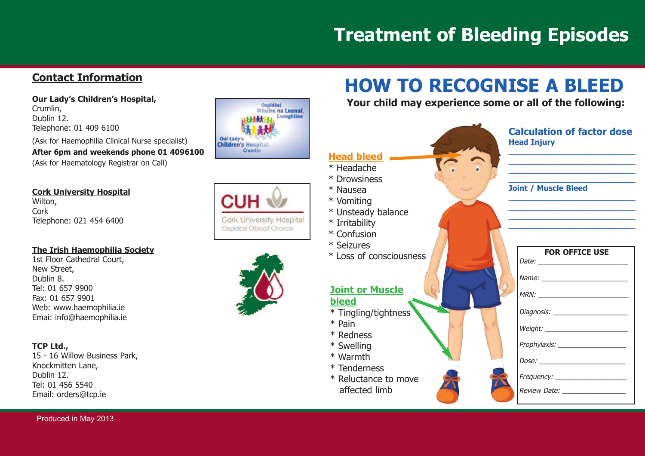# **Treatment of Bleeding Episodes**

#### **<u>Contact Information</u></u>**

<u> Our Lady's Children's Hospital,</u> Crumlin, Dublin 12. Telephone: 01 409 6100 (Ask for Haemophilia Clinical Nurse specialist) After 6pm and weekends phone 01 4096100 (Ask for Haematology Registrar on Call)

#### **<u>Cork University Hospital</u>**

Wilton, Cork Telephone: 021 454 6400

#### <u>The Irish Haemophilia Society</u>

1st Floor Cathedral Court, New Street, Dublin 8. Tel: 01 657 9900 Fax: 01 657 9901 Web: www.haemophilia.ie Emai: info@haemophilia.ie

#### **T C P L t d . ,**

15 - 16 Willow Business Park, Knockmitten Lane, Dublin 12. Tel: 01 456 5540 Email: orders@tcp.ie



**Cork University Hospital** Ospidéal Ollscoil Chorcaí



# **HOW TO RECOGNISE A BLEED**

Your child may experience some or all of the following: